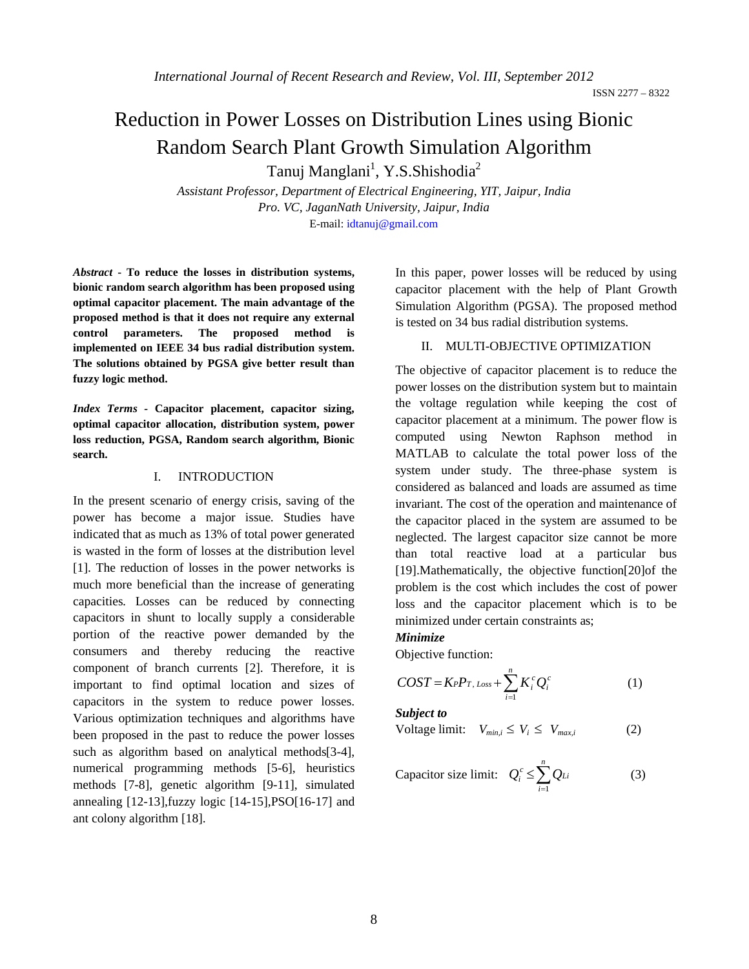ISSN 2277 – 8322

# Reduction in Power Losses on Distribution Lines using Bionic Random Search Plant Growth Simulation Algorithm

Tanuj Manglani<sup>1</sup>, Y.S.Shishodia<sup>2</sup>

*Assistant Professor, Department of Electrical Engineering, YIT, Jaipur, India Pro. VC, JaganNath University, Jaipur, India* E-mail: idtanuj@gmail.com

*Abstract* **- To reduce the losses in distribution systems, bionic random search algorithm has been proposed using optimal capacitor placement. The main advantage of the proposed method is that it does not require any external control parameters. The proposed method is implemented on IEEE 34 bus radial distribution system. The solutions obtained by PGSA give better result than fuzzy logic method.**

*Index Terms -* **Capacitor placement, capacitor sizing, optimal capacitor allocation, distribution system, power loss reduction, PGSA, Random search algorithm, Bionic search.**

#### I. INTRODUCTION

In the present scenario of energy crisis, saving of the power has become a major issue. Studies have indicated that as much as 13% of total power generated is wasted in the form of losses at the distribution level [1]. The reduction of losses in the power networks is much more beneficial than the increase of generating capacities. Losses can be reduced by connecting capacitors in shunt to locally supply a considerable portion of the reactive power demanded by the consumers and thereby reducing the reactive component of branch currents [2]. Therefore, it is important to find optimal location and sizes of capacitors in the system to reduce power losses. Various optimization techniques and algorithms have been proposed in the past to reduce the power losses such as algorithm based on analytical methods[3-4], numerical programming methods [5-6], heuristics methods [7-8], genetic algorithm [9-11], simulated annealing [12-13],fuzzy logic [14-15],PSO[16-17] and ant colony algorithm [18].

In this paper, power losses will be reduced by using capacitor placement with the help of Plant Growth Simulation Algorithm (PGSA). The proposed method is tested on 34 bus radial distribution systems.

### II. MULTI-OBJECTIVE OPTIMIZATION

The objective of capacitor placement is to reduce the power losses on the distribution system but to maintain the voltage regulation while keeping the cost of capacitor placement at a minimum. The power flow is computed using Newton Raphson method in MATLAB to calculate the total power loss of the system under study. The three-phase system is considered as balanced and loads are assumed as time invariant. The cost of the operation and maintenance of the capacitor placed in the system are assumed to be neglected. The largest capacitor size cannot be more than total reactive load at a particular bus [19].Mathematically, the objective function[20]of the problem is the cost which includes the cost of power loss and the capacitor placement which is to be minimized under certain constraints as;

### *Minimize*

Objective function:

$$
COST = K_P P_{T, Loss} + \sum_{i=1}^{n} K_i^c Q_i^c \tag{1}
$$

*Subject to* 

$$
Voltage limit: V_{min,i} \le V_i \le V_{max,i}
$$
 (2)

Capacitor size limit: 
$$
Q_i^c \le \sum_{i=1}^n Q_{Li}
$$
 (3)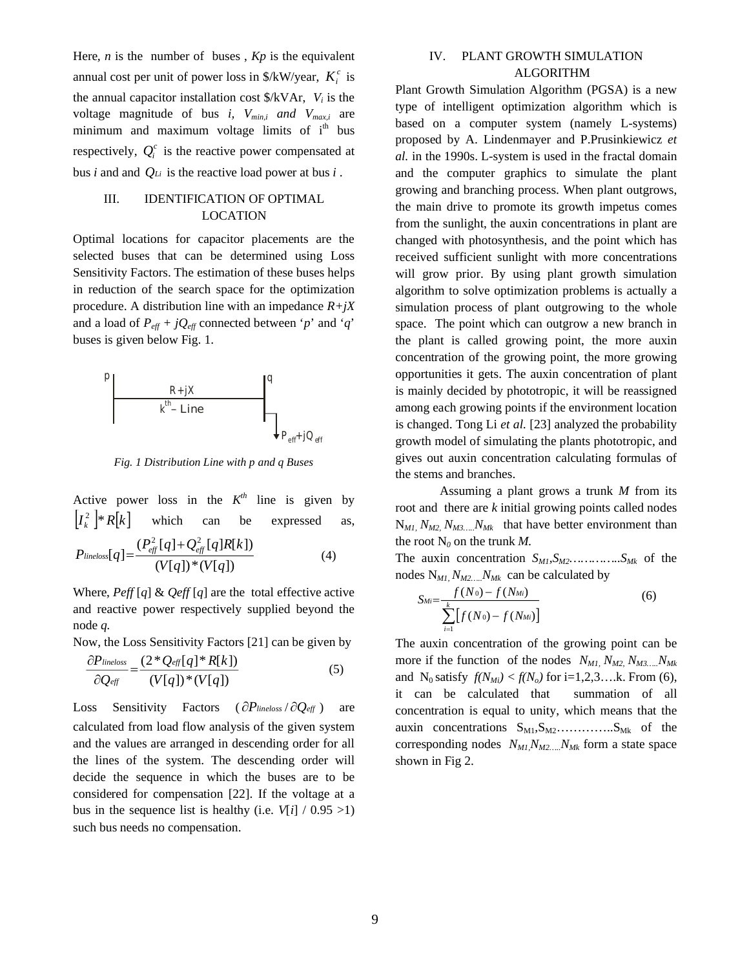Here*, n* is the number of buses , *Kp* is the equivalent annual cost per unit of power loss in  $\frac{K}{W}$  /year,  $K_i^c$  is the annual capacitor installation cost  $\frac{K}{V_A}$ , *V<sub>i</sub>* is the voltage magnitude of bus *i, Vmin,i and Vmax,i* are minimum and maximum voltage limits of  $i<sup>th</sup>$  bus respectively,  $Q_i^c$  is the reactive power compensated at bus *i* and and *QLi* is the reactive load power at bus *i* .

# III. IDENTIFICATION OF OPTIMAL LOCATION

Optimal locations for capacitor placements are the selected buses that can be determined using Loss Sensitivity Factors. The estimation of these buses helps in reduction of the search space for the optimization procedure. A distribution line with an impedance *R+jX*  and a load of  $P_{\text{eff}} + jQ_{\text{eff}}$  connected between '*p*' and '*q*' buses is given below Fig. 1.



*Fig. 1 Distribution Line with p and q Buses*

Active power loss in the  $K^{th}$  line is given by  $[I_k^2]$  \*  $R[k]$ which can be expressed as,

$$
P_{\text{lineloss}}[q] = \frac{(P_{\text{eff}}^2 [q] + Q_{\text{eff}}^2 [q] R[k])}{(V[q])^*(V[q])}
$$
(4)

Where,  $P\text{eff} [q] \& Q\text{eff} [q]$  are the total effective active and reactive power respectively supplied beyond the node *q.*

Now, the Loss Sensitivity Factors [21] can be given by

$$
\frac{\partial P_{\text{lineloss}}}{\partial Q_{\text{eff}}} = \frac{(2 \times Q_{\text{eff}}[q] \times R[k])}{(V[q]) \times (V[q])} \tag{5}
$$

Loss Sensitivity Factors ( $\partial P_{\text{lineloss}}/\partial Q_{\text{eff}}$ ) are calculated from load flow analysis of the given system and the values are arranged in descending order for all the lines of the system. The descending order will decide the sequence in which the buses are to be considered for compensation [22]. If the voltage at a bus in the sequence list is healthy (i.e.  $V[i] / 0.95 > 1$ ) such bus needs no compensation.

## IV. PLANT GROWTH SIMULATION ALGORITHM

Plant Growth Simulation Algorithm (PGSA) is a new type of intelligent optimization algorithm which is based on a computer system (namely L-systems) proposed by A. Lindenmayer and P.Prusinkiewicz *et al.* in the 1990s. L-system is used in the fractal domain and the computer graphics to simulate the plant growing and branching process. When plant outgrows, the main drive to promote its growth impetus comes from the sunlight, the auxin concentrations in plant are changed with photosynthesis, and the point which has received sufficient sunlight with more concentrations will grow prior. By using plant growth simulation algorithm to solve optimization problems is actually a simulation process of plant outgrowing to the whole space. The point which can outgrow a new branch in the plant is called growing point, the more auxin concentration of the growing point, the more growing opportunities it gets. The auxin concentration of plant is mainly decided by phototropic, it will be reassigned among each growing points if the environment location is changed. Tong Li *et al.* [23] analyzed the probability growth model of simulating the plants phototropic, and gives out auxin concentration calculating formulas of the stems and branches.

Assuming a plant grows a trunk *M* from its root and there are *k* initial growing points called nodes  $N_{ML}$ ,  $N_{M2}$ ,  $N_{M3}$ ,  $N_{MK}$  that have better environment than the root  $N_0$  on the trunk *M*.

The auxin concentration  $S_{M1}, S_{M2}, \ldots, S_{Mk}$  of the nodes  $N_{ML}$ ,  $N_{M2}$ <sub>*Ma*</sub> can be calculated by

$$
S_{Mi} = \frac{f(N_0) - f(N_{Mi})}{\sum_{i=1}^{k} [f(N_0) - f(N_{Mi})]}
$$
(6)

The auxin concentration of the growing point can be more if the function of the nodes  $N_{ML}$ ,  $N_{M2}$ ,  $N_{M3}$ ,  $N_{MK}$ and N<sub>0</sub> satisfy  $f(N_{Mi}) < f(N_o)$  for i=1,2,3….k. From (6), it can be calculated that summation of all concentration is equal to unity, which means that the auxin concentrations  $S_{M1}, S_{M2}, \ldots, S_{Mk}$  of the corresponding nodes  $N_{ML}N_{M2...}N_{MK}$  form a state space shown in Fig 2.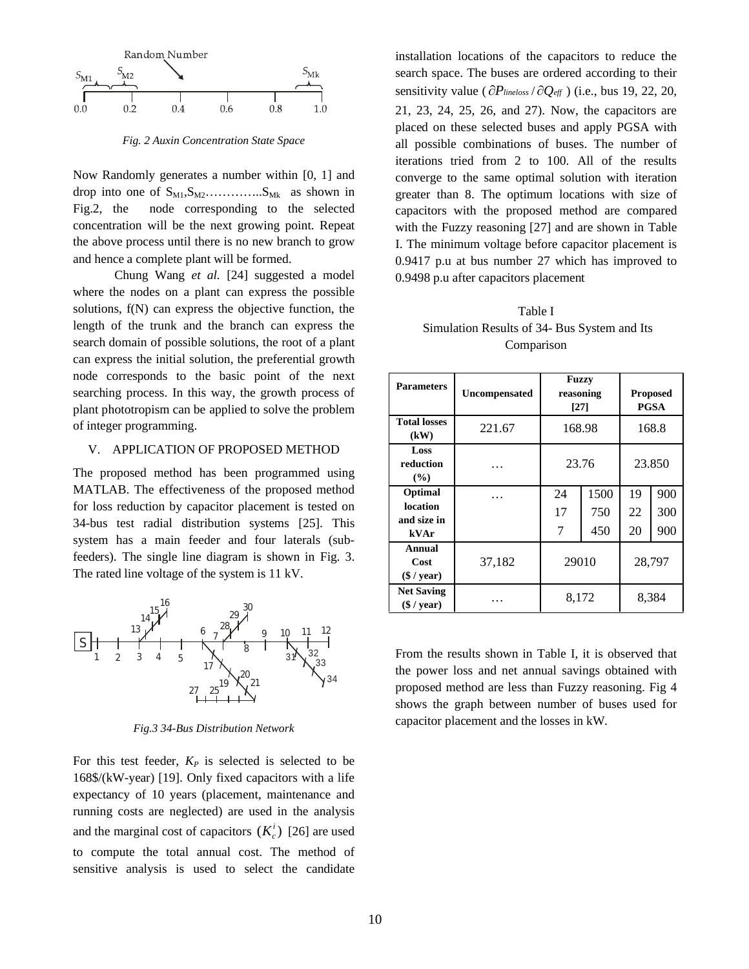

*Fig. 2 Auxin Concentration State Space*

Now Randomly generates a number within [0, 1] and drop into one of  $S_{M1}, S_{M2}$ …………... $S_{Mk}$  as shown in Fig.2, the node corresponding to the selected concentration will be the next growing point. Repeat the above process until there is no new branch to grow and hence a complete plant will be formed.

Chung Wang *et al.* [24] suggested a model where the nodes on a plant can express the possible solutions, f(N) can express the objective function, the length of the trunk and the branch can express the search domain of possible solutions, the root of a plant can express the initial solution, the preferential growth node corresponds to the basic point of the next searching process. In this way, the growth process of plant phototropism can be applied to solve the problem of integer programming.

## V. APPLICATION OF PROPOSED METHOD

The proposed method has been programmed using MATLAB. The effectiveness of the proposed method for loss reduction by capacitor placement is tested on 34-bus test radial distribution systems [25]. This system has a main feeder and four laterals (subfeeders). The single line diagram is shown in Fig. 3. The rated line voltage of the system is 11 kV.



*Fig.3 34-Bus Distribution Network*

For this test feeder,  $K_P$  is selected is selected to be 168\$/(kW-year) [19]. Only fixed capacitors with a life expectancy of 10 years (placement, maintenance and running costs are neglected) are used in the analysis and the marginal cost of capacitors  $(K_c^i)$  [26] are used to compute the total annual cost. The method of sensitive analysis is used to select the candidate

installation locations of the capacitors to reduce the search space. The buses are ordered according to their sensitivity value ( $\partial P_{\text{lineloss}} / \partial Q_{\text{eff}}$ ) (i.e., bus 19, 22, 20, 21, 23, 24, 25, 26, and 27). Now, the capacitors are placed on these selected buses and apply PGSA with all possible combinations of buses. The number of iterations tried from 2 to 100. All of the results converge to the same optimal solution with iteration greater than 8. The optimum locations with size of capacitors with the proposed method are compared with the Fuzzy reasoning [27] and are shown in Table I. The minimum voltage before capacitor placement is 0.9417 p.u at bus number 27 which has improved to 0.9498 p.u after capacitors placement

## Table I Simulation Results of 34- Bus System and Its Comparison

| <b>Parameters</b>                          | <b>Uncompensated</b> | Fuzzy<br>reasoning<br>[27] |                    | <b>Proposed</b><br>PGSA |                   |
|--------------------------------------------|----------------------|----------------------------|--------------------|-------------------------|-------------------|
| <b>Total losses</b><br>(kW)                | 221.67               | 168.98                     |                    | 168.8                   |                   |
| Loss<br>reduction<br>(%)                   |                      | 23.76                      |                    | 23.850                  |                   |
| Optimal<br>location<br>and size in<br>kVAr |                      | 24<br>17<br>7              | 1500<br>750<br>450 | 19<br>22<br>20          | 900<br>300<br>900 |
| Annual<br>Cost<br>$(\$ / year)$            | 37,182               | 29010                      |                    | 28,797                  |                   |
| <b>Net Saving</b><br>$(\$ / year)$         |                      | 8,172                      |                    | 8,384                   |                   |

From the results shown in Table I, it is observed that the power loss and net annual savings obtained with proposed method are less than Fuzzy reasoning. Fig 4 shows the graph between number of buses used for capacitor placement and the losses in kW.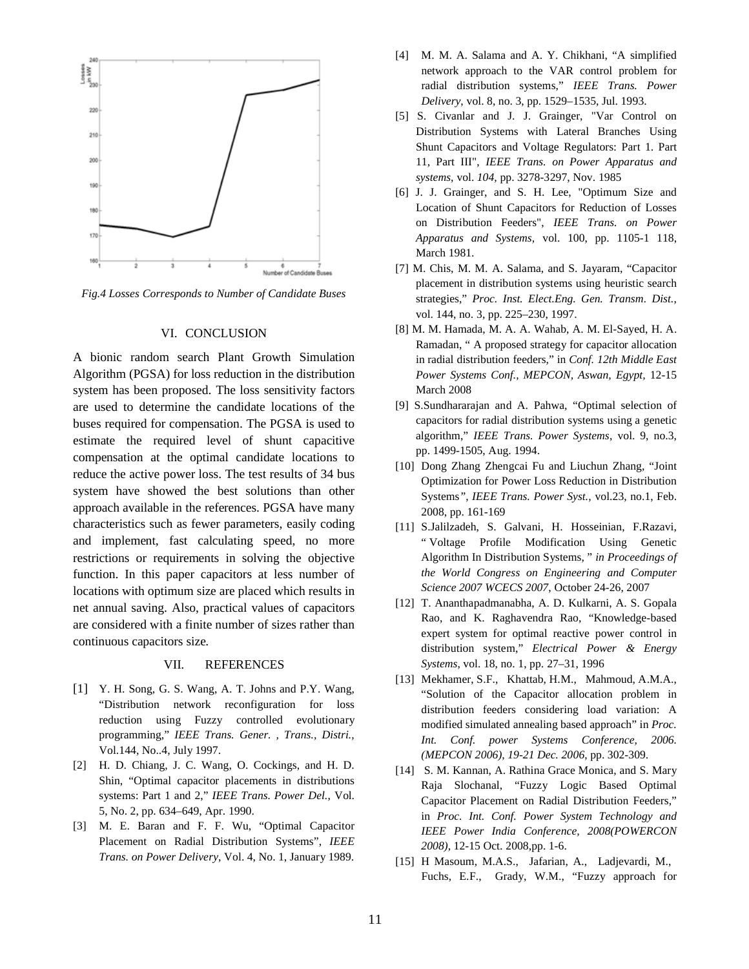

*Fig.4 Losses Corresponds to Number of Candidate Buses*

#### VI. CONCLUSION

A bionic random search Plant Growth Simulation Algorithm (PGSA) for loss reduction in the distribution system has been proposed. The loss sensitivity factors are used to determine the candidate locations of the buses required for compensation. The PGSA is used to estimate the required level of shunt capacitive compensation at the optimal candidate locations to reduce the active power loss. The test results of 34 bus system have showed the best solutions than other approach available in the references. PGSA have many characteristics such as fewer parameters, easily coding and implement, fast calculating speed, no more restrictions or requirements in solving the objective function. In this paper capacitors at less number of locations with optimum size are placed which results in net annual saving. Also, practical values of capacitors are considered with a finite number of sizes rather than continuous capacitors size.

#### VII. REFERENCES

- [1] Y. H. Song, G. S. Wang, A. T. Johns and P.Y. Wang, "Distribution network reconfiguration for loss reduction using Fuzzy controlled evolutionary programming," *IEEE Trans. Gener. , Trans., Distri.,*  Vol.144, No..4, July 1997.
- [2] H. D. Chiang, J. C. Wang, O. Cockings, and H. D. Shin, "Optimal capacitor placements in distributions systems: Part 1 and 2," *IEEE Trans. Power Del.*, Vol. 5, No. 2, pp. 634–649, Apr. 1990.
- [3] M. E. Baran and F. F. Wu, "Optimal Capacitor Placement on Radial Distribution Systems", *IEEE Trans. on Power Delivery*, Vol. 4, No. 1, January 1989.
- [4] M. M. A. Salama and A. Y. Chikhani, "A simplified network approach to the VAR control problem for radial distribution systems," *IEEE Trans. Power Delivery*, vol. 8, no. 3, pp. 1529–1535, Jul. 1993.
- [5] S. Civanlar and J. J. Grainger, "Var Control on Distribution Systems with Lateral Branches Using Shunt Capacitors and Voltage Regulators: Part 1. Part 11, Part III", *IEEE Trans. on Power Apparatus and systems,* vol. *104,* pp. 3278-3297, Nov. 1985
- [6] J. J. Grainger, and S. H. Lee, "Optimum Size and Location of Shunt Capacitors for Reduction of Losses on Distribution Feeders", *IEEE Trans. on Power Apparatus and Systems,* vol. 100, pp. 1105-1 118, March 1981.
- [7] M. Chis, M. M. A. Salama, and S. Jayaram, "Capacitor placement in distribution systems using heuristic search strategies," *Proc. Inst. Elect.Eng. Gen. Transm. Dist.*, vol. 144, no. 3, pp. 225–230, 1997.
- [8] M. M. Hamada, M. A. A. Wahab, A. M. El-Sayed, H. A. Ramadan, " A proposed strategy for capacitor allocation in radial distribution feeders," in *Conf. 12th Middle East Power Systems Conf., MEPCON, Aswan, Egypt,* 12-15 March 2008
- [9] S.Sundhararajan and A. Pahwa, "Optimal selection of capacitors for radial distribution systems using a genetic algorithm," *IEEE Trans. Power Systems*, vol. 9, no.3, pp. 1499-1505, Aug. 1994.
- [10] Dong Zhang Zhengcai Fu and Liuchun Zhang, "Joint Optimization for Power Loss Reduction in Distribution Systems*"*, *IEEE Trans. Power Syst.,* vol.23, no.1, Feb. 2008, pp. 161-169
- [11] S.Jalilzadeh, S. Galvani, H. Hosseinian, F.Razavi, " Voltage Profile Modification Using Genetic Algorithm In Distribution Systems, " *in Proceedings of the World Congress on Engineering and Computer Science 2007 WCECS 2007*, October 24-26, 2007
- [12] T. Ananthapadmanabha, A. D. Kulkarni, A. S. Gopala Rao, and K. Raghavendra Rao, "Knowledge-based expert system for optimal reactive power control in distribution system," *Electrical Power & Energy Systems*, vol. 18, no. 1, pp. 27–31, 1996
- [13] Mekhamer, S.F., Khattab, H.M., Mahmoud, A.M.A., "Solution of the Capacitor allocation problem in distribution feeders considering load variation: A modified simulated annealing based approach" in *Proc. Int. Conf. power Systems Conference, 2006. (MEPCON 2006), 19-21 Dec. 2006*, pp. 302-309.
- [14] S. M. Kannan, A. Rathina Grace Monica, and S. Mary Raja Slochanal, "Fuzzy Logic Based Optimal Capacitor Placement on Radial Distribution Feeders," in *Proc. Int. Conf. Power System Technology and IEEE Power India Conference, 2008(POWERCON 2008),* 12-15 Oct. 2008,pp. 1-6.
- [15] H Masoum, M.A.S., Jafarian, A., Ladjevardi, M., Fuchs, E.F., Grady, W.M., "Fuzzy approach for